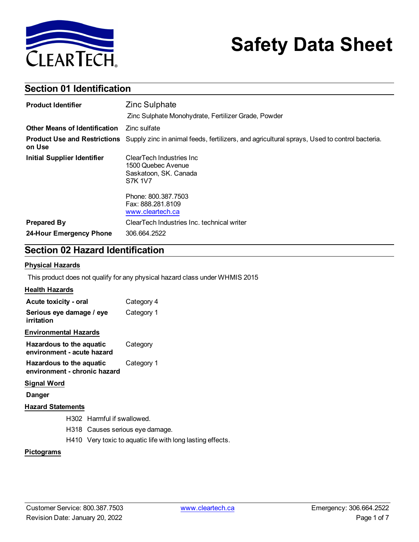

# **Safety Data Sheet**

### **Section 01 Identification**

| <b>Product Identifier</b>            | <b>Zinc Sulphate</b>                                                                                                             |
|--------------------------------------|----------------------------------------------------------------------------------------------------------------------------------|
|                                      | Zinc Sulphate Monohydrate, Fertilizer Grade, Powder                                                                              |
| <b>Other Means of Identification</b> | Zinc sulfate                                                                                                                     |
| on Use                               | <b>Product Use and Restrictions</b> Supply zinc in animal feeds, fertilizers, and agricultural sprays, Used to control bacteria. |
| <b>Initial Supplier Identifier</b>   | ClearTech Industries Inc<br>1500 Quebec Avenue<br>Saskatoon, SK. Canada<br><b>S7K 1V7</b>                                        |
|                                      | Phone: 800.387.7503<br>Fax: 888.281.8109<br>www.cleartech.ca                                                                     |
| <b>Prepared By</b>                   | ClearTech Industries Inc. technical writer                                                                                       |
| 24-Hour Emergency Phone              | 306.664.2522                                                                                                                     |

### **Section 02 Hazard Identification**

#### **Physical Hazards**

This product does not qualify for any physical hazard class under WHMIS 2015

### **Health Hazards**

| Acute toxicity - oral                                    | Category 4 |
|----------------------------------------------------------|------------|
| Serious eye damage / eye<br>irritation                   | Category 1 |
| <b>Environmental Hazards</b>                             |            |
| Hazardous to the aquatic<br>environment - acute hazard   | Category   |
| Hazardous to the aquatic<br>environment - chronic hazard | Category 1 |
|                                                          |            |

#### **Signal Word**

**Danger**

### **Hazard Statements**

- H302 Harmful if swallowed.
- H318 Causes serious eye damage.
- H410 Very toxic to aquatic life with long lasting effects.

#### **Pictograms**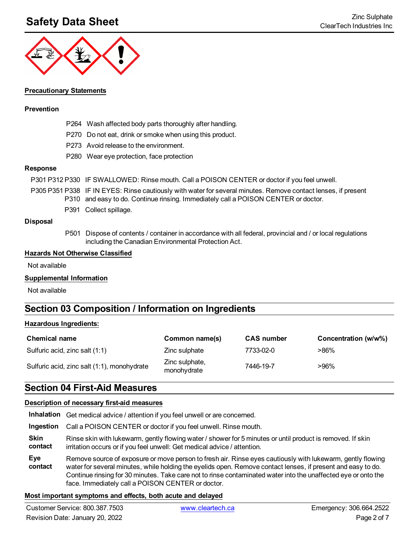## **Safety Data Sheet** Zinc Sulphate **Zinc Sulphate Zinc Sulphate**



### **Precautionary Statements**

### **Prevention**

- P264 Wash affected body parts thoroughly after handling.
- P270 Do not eat, drink or smoke when using this product.
- P273 Avoid release to the environment.
- P280 Wear eye protection, face protection

### **Response**

- P301 P312 P330 IF SWALLOWED: Rinse mouth. Call a POISON CENTER or doctor if you feel unwell.
- P305 P351 P338 IF IN EYES: Rinse cautiously with water for several minutes. Remove contact lenses, if present P310 and easy to do. Continue rinsing. Immediately call a POISON CENTER or doctor.
	- P391 Collect spillage.

#### **Disposal**

P501 Dispose of contents / container in accordance with all federal, provincial and / or local regulations including the Canadian Environmental Protection Act.

#### **Hazards Not Otherwise Classified**

Not available

#### **Supplemental Information**

Not available

### **Section 03 Composition / Information on Ingredients**

#### **Hazardous Ingredients:**

| <b>Chemical name</b>                        | Common name(s)                | <b>CAS number</b> | Concentration (w/w%) |
|---------------------------------------------|-------------------------------|-------------------|----------------------|
| Sulfuric acid, zinc salt (1:1)              | Zinc sulphate                 | 7733-02-0         | >86%                 |
| Sulfuric acid, zinc salt (1:1), monohydrate | Zinc sulphate,<br>monohydrate | 7446-19-7         | >96%                 |

### **Section 04 First-Aid Measures**

#### **Description of necessary first-aid measures**

**Inhalation** Get medical advice / attention if you feel unwell or are concerned.

**Ingestion** Call a POISON CENTER or doctor if you feel unwell. Rinse mouth.

**Skin contact** Rinse skin with lukewarm, gently flowing water / shower for 5 minutes or until product is removed. If skin irritation occurs or if you feel unwell: Get medical advice / attention.

**Eye contact** Remove source of exposure or move person to fresh air. Rinse eyes cautiously with lukewarm, gently flowing water for several minutes, while holding the eyelids open. Remove contact lenses, if present and easy to do. Continue rinsing for 30 minutes. Take care not to rinse contaminated water into the unaffected eye or onto the face. Immediately call a POISON CENTER or doctor.

#### **Most important symptoms and effects, both acute and delayed**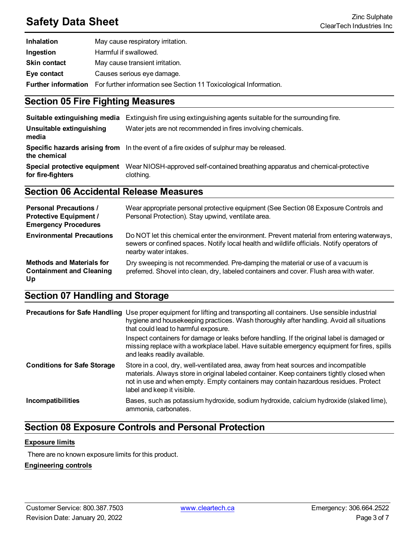# **Safety Data Sheet** Zinc Sulphate **Zinc Sulphate Zinc Sulphate Zinc Sulphate Zinc Sulphate Zinc Sulphate Zinc Sulphate Zinc Sulphate Zinc Sulphate Zinc Sulphate Zinc Sulphate Zinc Sulphate Zinc Sulpha**

| <b>Inhalation</b>          | May cause respiratory irritation.                                 |
|----------------------------|-------------------------------------------------------------------|
| Ingestion                  | Harmful if swallowed.                                             |
| <b>Skin contact</b>        | May cause transient irritation.                                   |
| Eye contact                | Causes serious eye damage.                                        |
| <b>Further information</b> | For further information see Section 11 Toxicological Information. |

### **Section 05 Fire Fighting Measures**

|                                                   | <b>Suitable extinguishing media</b> Extinguish fire using extinguishing agents suitable for the surrounding fire. |
|---------------------------------------------------|-------------------------------------------------------------------------------------------------------------------|
| Unsuitable extinguishing<br>media                 | Water jets are not recommended in fires involving chemicals.                                                      |
| the chemical                                      | Specific hazards arising from In the event of a fire oxides of sulphur may be released.                           |
| Special protective equipment<br>for fire-fighters | Wear NIOSH-approved self-contained breathing apparatus and chemical-protective<br>clothing.                       |

### **Section 06 Accidental Release Measures**

| <b>Personal Precautions /</b><br><b>Protective Equipment /</b><br><b>Emergency Procedures</b> | Wear appropriate personal protective equipment (See Section 08 Exposure Controls and<br>Personal Protection). Stay upwind, ventilate area.                                                                       |
|-----------------------------------------------------------------------------------------------|------------------------------------------------------------------------------------------------------------------------------------------------------------------------------------------------------------------|
| <b>Environmental Precautions</b>                                                              | Do NOT let this chemical enter the environment. Prevent material from entering waterways,<br>sewers or confined spaces. Notify local health and wildlife officials. Notify operators of<br>nearby water intakes. |
| <b>Methods and Materials for</b><br><b>Containment and Cleaning</b><br>Up                     | Dry sweeping is not recommended. Pre-damping the material or use of a vacuum is<br>preferred. Shovel into clean, dry, labeled containers and cover. Flush area with water.                                       |

### **Section 07 Handling and Storage**

|                                    | <b>Precautions for Safe Handling</b> Use proper equipment for lifting and transporting all containers. Use sensible industrial<br>hygiene and housekeeping practices. Wash thoroughly after handling. Avoid all situations<br>that could lead to harmful exposure.<br>Inspect containers for damage or leaks before handling. If the original label is damaged or<br>missing replace with a workplace label. Have suitable emergency equipment for fires, spills<br>and leaks readily available. |
|------------------------------------|--------------------------------------------------------------------------------------------------------------------------------------------------------------------------------------------------------------------------------------------------------------------------------------------------------------------------------------------------------------------------------------------------------------------------------------------------------------------------------------------------|
| <b>Conditions for Safe Storage</b> | Store in a cool, dry, well-ventilated area, away from heat sources and incompatible<br>materials. Always store in original labeled container. Keep containers tightly closed when<br>not in use and when empty. Empty containers may contain hazardous residues. Protect<br>label and keep it visible.                                                                                                                                                                                           |
| Incompatibilities                  | Bases, such as potassium hydroxide, sodium hydroxide, calcium hydroxide (slaked lime),<br>ammonia, carbonates.                                                                                                                                                                                                                                                                                                                                                                                   |

### **Section 08 Exposure Controls and Personal Protection**

#### **Exposure limits**

There are no known exposure limits for this product.

### **Engineering controls**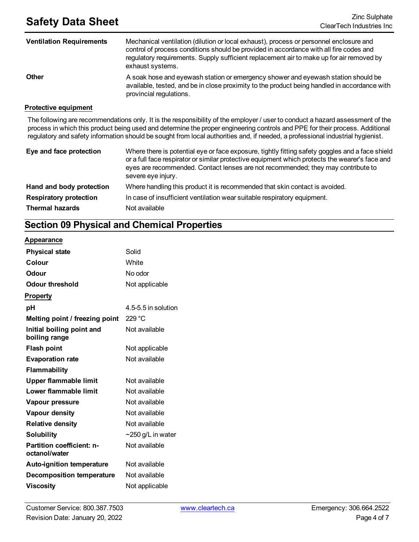| <b>Ventilation Requirements</b> | Mechanical ventilation (dilution or local exhaust), process or personnel enclosure and<br>control of process conditions should be provided in accordance with all fire codes and<br>regulatory requirements. Supply sufficient replacement air to make up for air removed by<br>exhaust systems. |
|---------------------------------|--------------------------------------------------------------------------------------------------------------------------------------------------------------------------------------------------------------------------------------------------------------------------------------------------|
| <b>Other</b>                    | A soak hose and eyewash station or emergency shower and eyewash station should be<br>available, tested, and be in close proximity to the product being handled in accordance with<br>provincial regulations.                                                                                     |

#### **Protective equipment**

The following are recommendations only. It is the responsibility of the employer / user to conduct a hazard assessment of the process in which this product being used and determine the proper engineering controls and PPE for their process. Additional regulatory and safety information should be sought from local authorities and, if needed, a professional industrial hygienist.

| Eye and face protection       | Where there is potential eye or face exposure, tightly fitting safety goggles and a face shield<br>or a full face respirator or similar protective equipment which protects the wearer's face and<br>eyes are recommended. Contact lenses are not recommended; they may contribute to<br>severe eye injury. |
|-------------------------------|-------------------------------------------------------------------------------------------------------------------------------------------------------------------------------------------------------------------------------------------------------------------------------------------------------------|
| Hand and body protection      | Where handling this product it is recommended that skin contact is avoided.                                                                                                                                                                                                                                 |
| <b>Respiratory protection</b> | In case of insufficient ventilation wear suitable respiratory equipment.                                                                                                                                                                                                                                    |
| <b>Thermal hazards</b>        | Not available                                                                                                                                                                                                                                                                                               |

### **Section 09 Physical and Chemical Properties**

#### **Appearance**

| <b>Physical state</b>                             | Solid                   |
|---------------------------------------------------|-------------------------|
| Colour                                            | White                   |
| <b>Odour</b>                                      | No odor                 |
| <b>Odour threshold</b>                            | Not applicable          |
| <b>Property</b>                                   |                         |
| рH                                                | 4.5-5.5 in solution     |
| Melting point / freezing point                    | 229 °C                  |
| Initial boiling point and<br>boiling range        | Not available           |
| <b>Flash point</b>                                | Not applicable          |
| <b>Evaporation rate</b>                           | Not available           |
| <b>Flammability</b>                               |                         |
| Upper flammable limit                             | Not available           |
| Lower flammable limit                             | Not available           |
| Vapour pressure                                   | Not available           |
| Vapour density                                    | Not available           |
| <b>Relative density</b>                           | Not available           |
| <b>Solubility</b>                                 | $\sim$ 250 g/L in water |
| <b>Partition coefficient: n-</b><br>octanol/water | Not available           |
| <b>Auto-ignition temperature</b>                  | Not available           |
| <b>Decomposition temperature</b>                  | Not available           |
| <b>Viscosity</b>                                  | Not applicable          |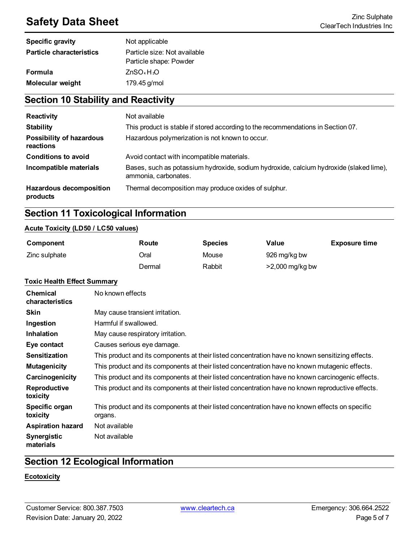# **Safety Data Sheet** Zinc Sulphate **Zinc Sulphate Zinc Sulphate Zinc Sulphate Zinc Sulphate Zinc Sulphate Zinc Sulphate Zinc Sulphate Zinc Sulphate Zinc Sulphate Zinc Sulphate Zinc Sulphate Zinc Sulpha**

| <b>Specific gravity</b>         | Not applicable                                         |
|---------------------------------|--------------------------------------------------------|
| <b>Particle characteristics</b> | Particle size: Not available<br>Particle shape: Powder |
| <b>Formula</b>                  | ZnSO <sub>4</sub> H <sub>2</sub> O                     |
| <b>Molecular weight</b>         | 179.45 g/mol                                           |

### **Section 10 Stability and Reactivity**

| <b>Reactivity</b>                          | Not available                                                                                                  |
|--------------------------------------------|----------------------------------------------------------------------------------------------------------------|
| <b>Stability</b>                           | This product is stable if stored according to the recommendations in Section 07.                               |
| Possibility of hazardous<br>reactions      | Hazardous polymerization is not known to occur.                                                                |
| <b>Conditions to avoid</b>                 | Avoid contact with incompatible materials.                                                                     |
| Incompatible materials                     | Bases, such as potassium hydroxide, sodium hydroxide, calcium hydroxide (slaked lime),<br>ammonia, carbonates. |
| <b>Hazardous decomposition</b><br>products | Thermal decomposition may produce oxides of sulphur.                                                           |

### **Section 11 Toxicological Information**

#### **Acute Toxicity (LD50 / LC50 values)**

| Component     | Route  | <b>Species</b> | Value           | <b>Exposure time</b> |
|---------------|--------|----------------|-----------------|----------------------|
| Zinc sulphate | วral   | Mouse          | 926 mg/kg bw    |                      |
|               | Dermal | Rabbit         | >2,000 mg/kg bw |                      |

#### **Toxic Health Effect Summary**

| <b>Chemical</b><br>characteristics | No known effects                                                                                           |
|------------------------------------|------------------------------------------------------------------------------------------------------------|
| <b>Skin</b>                        | May cause transient irritation.                                                                            |
| Ingestion                          | Harmful if swallowed.                                                                                      |
| <b>Inhalation</b>                  | May cause respiratory irritation.                                                                          |
| Eye contact                        | Causes serious eye damage.                                                                                 |
| <b>Sensitization</b>               | This product and its components at their listed concentration have no known sensitizing effects.           |
| <b>Mutagenicity</b>                | This product and its components at their listed concentration have no known mutagenic effects.             |
| Carcinogenicity                    | This product and its components at their listed concentration have no known carcinogenic effects.          |
| <b>Reproductive</b><br>toxicity    | This product and its components at their listed concentration have no known reproductive effects.          |
| Specific organ<br>toxicity         | This product and its components at their listed concentration have no known effects on specific<br>organs. |
| <b>Aspiration hazard</b>           | Not available                                                                                              |
| Synergistic<br>materials           | Not available                                                                                              |

### **Section 12 Ecological Information**

### **Ecotoxicity**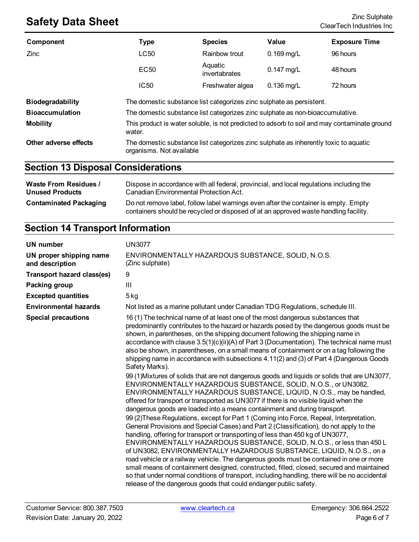# **Safety Data Sheet**<br>ClearTech Industries Inc.

| Component               | <b>Type</b>                                                                                                      | <b>Species</b>           | Value        | <b>Exposure Time</b> |
|-------------------------|------------------------------------------------------------------------------------------------------------------|--------------------------|--------------|----------------------|
| <b>Zinc</b>             | LC50                                                                                                             | Rainbow trout            | $0.169$ mg/L | 96 hours             |
|                         | EC <sub>50</sub>                                                                                                 | Aquatic<br>invertabrates | $0.147$ mg/L | 48 hours             |
|                         | IC50                                                                                                             | Freshwater algea         | $0.136$ mg/L | 72 hours             |
| <b>Biodegradability</b> | The domestic substance list categorizes zinc sulphate as persistent.                                             |                          |              |                      |
| <b>Bioaccumulation</b>  | The domestic substance list categorizes zinc sulphate as non-bioaccumulative.                                    |                          |              |                      |
| <b>Mobility</b>         | This product is water soluble, is not predicted to adsorb to soil and may contaminate ground<br>water.           |                          |              |                      |
| Other adverse effects   | The domestic substance list categorizes zinc sulphate as inherently toxic to aquatic<br>organisms. Not available |                          |              |                      |

### **Section 13 Disposal Considerations**

| <b>Waste From Residues /</b>  | Dispose in accordance with all federal, provincial, and local regulations including the                                                                                     |
|-------------------------------|-----------------------------------------------------------------------------------------------------------------------------------------------------------------------------|
| <b>Unused Products</b>        | Canadian Environmental Protection Act.                                                                                                                                      |
| <b>Contaminated Packaging</b> | Do not remove label, follow label warnings even after the container is empty. Empty<br>containers should be recycled or disposed of at an approved waste handling facility. |

### **Section 14 Transport Information**

| <b>UN number</b>                           | <b>UN3077</b>                                                                                                                                                                                                                                                                                                                                                                                                                                                                                                                                                                                                                                                                                                                                                                                                                                                                                                                                                                                                                                                                                                                                                                                                                                                                                                                                                                                                                                                                                                                                                                                                                                                                                                                                                               |
|--------------------------------------------|-----------------------------------------------------------------------------------------------------------------------------------------------------------------------------------------------------------------------------------------------------------------------------------------------------------------------------------------------------------------------------------------------------------------------------------------------------------------------------------------------------------------------------------------------------------------------------------------------------------------------------------------------------------------------------------------------------------------------------------------------------------------------------------------------------------------------------------------------------------------------------------------------------------------------------------------------------------------------------------------------------------------------------------------------------------------------------------------------------------------------------------------------------------------------------------------------------------------------------------------------------------------------------------------------------------------------------------------------------------------------------------------------------------------------------------------------------------------------------------------------------------------------------------------------------------------------------------------------------------------------------------------------------------------------------------------------------------------------------------------------------------------------------|
| UN proper shipping name<br>and description | ENVIRONMENTALLY HAZARDOUS SUBSTANCE, SOLID, N.O.S.<br>(Zinc sulphate)                                                                                                                                                                                                                                                                                                                                                                                                                                                                                                                                                                                                                                                                                                                                                                                                                                                                                                                                                                                                                                                                                                                                                                                                                                                                                                                                                                                                                                                                                                                                                                                                                                                                                                       |
| <b>Transport hazard class(es)</b>          | 9                                                                                                                                                                                                                                                                                                                                                                                                                                                                                                                                                                                                                                                                                                                                                                                                                                                                                                                                                                                                                                                                                                                                                                                                                                                                                                                                                                                                                                                                                                                                                                                                                                                                                                                                                                           |
| Packing group                              | Ш                                                                                                                                                                                                                                                                                                                                                                                                                                                                                                                                                                                                                                                                                                                                                                                                                                                                                                                                                                                                                                                                                                                                                                                                                                                                                                                                                                                                                                                                                                                                                                                                                                                                                                                                                                           |
| <b>Excepted quantities</b>                 | 5 kg                                                                                                                                                                                                                                                                                                                                                                                                                                                                                                                                                                                                                                                                                                                                                                                                                                                                                                                                                                                                                                                                                                                                                                                                                                                                                                                                                                                                                                                                                                                                                                                                                                                                                                                                                                        |
| <b>Environmental hazards</b>               | Not listed as a marine pollutant under Canadian TDG Regulations, schedule III.                                                                                                                                                                                                                                                                                                                                                                                                                                                                                                                                                                                                                                                                                                                                                                                                                                                                                                                                                                                                                                                                                                                                                                                                                                                                                                                                                                                                                                                                                                                                                                                                                                                                                              |
| <b>Special precautions</b>                 | 16 (1) The technical name of at least one of the most dangerous substances that<br>predominantly contributes to the hazard or hazards posed by the dangerous goods must be<br>shown, in parentheses, on the shipping document following the shipping name in<br>accordance with clause 3.5(1)(c)(ii)(A) of Part 3 (Documentation). The technical name must<br>also be shown, in parentheses, on a small means of containment or on a tag following the<br>shipping name in accordance with subsections 4.11(2) and (3) of Part 4 (Dangerous Goods<br>Safety Marks).<br>99 (1) Mixtures of solids that are not dangerous goods and liquids or solids that are UN3077,<br>ENVIRONMENTALLY HAZARDOUS SUBSTANCE, SOLID, N.O.S., or UN3082,<br>ENVIRONMENTALLY HAZARDOUS SUBSTANCE, LIQUID, N.O.S., may be handled,<br>offered for transport or transported as UN3077 if there is no visible liquid when the<br>dangerous goods are loaded into a means containment and during transport.<br>99 (2) These Regulations, except for Part 1 (Coming into Force, Repeal, Interpretation,<br>General Provisions and Special Cases) and Part 2 (Classification), do not apply to the<br>handling, offering for transport or transporting of less than 450 kg of UN3077,<br>ENVIRONMENTALLY HAZARDOUS SUBSTANCE, SOLID, N.O.S., or less than 450 L<br>of UN3082, ENVIRONMENTALLY HAZARDOUS SUBSTANCE, LIQUID, N.O.S., on a<br>road vehicle or a railway vehicle. The dangerous goods must be contained in one or more<br>small means of containment designed, constructed, filled, closed, secured and maintained<br>so that under normal conditions of transport, including handling, there will be no accidental<br>release of the dangerous goods that could endanger public safety. |